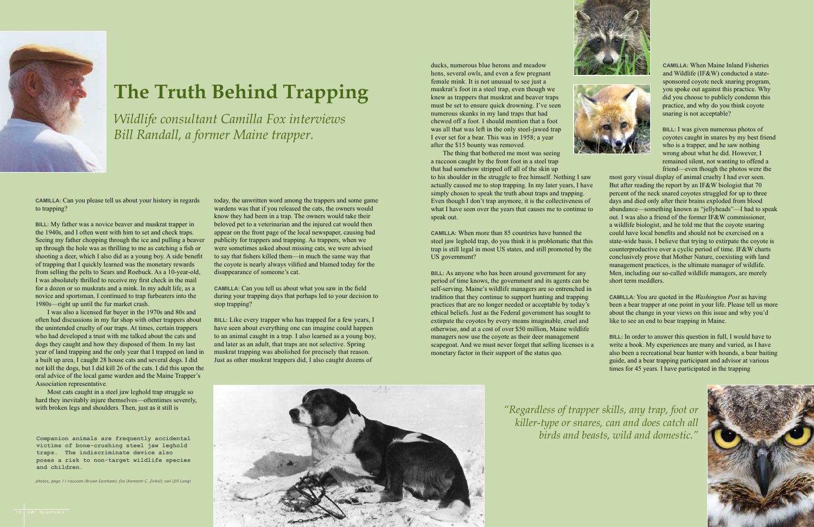**Camilla:** When Maine Inland Fisheries and Wildlife (IF&W) conducted a statesponsored coyote neck snaring program, you spoke out against this practice. Why did you choose to publicly condemn this practice, and why do you think coyote snaring is not acceptable?

**Bill:** I was given numerous photos of coyotes caught in snares by my best friend who is a trapper, and he saw nothing wrong about what he did. However, I remained silent, not wanting to offend a friend—even though the photos were the

most gory visual display of animal cruelty I had ever seen. But after reading the report by an IF&W biologist that 70 percent of the neck snared coyotes struggled for up to three days and died only after their brains exploded from blood abundance—something known as "jellyheads"—I had to speak out. I was also a friend of the former IF&W commissioner, a wildlife biologist, and he told me that the coyote snaring could have local benefits and should not be exercised on a state-wide basis. I believe that trying to extirpate the coyote is counterproductive over a cyclic period of time. IF&W charts conclusively prove that Mother Nature, coexisting with land management practices, is the ultimate manager of wildlife. Men, including our so-called wildlife managers, are merely short term meddlers.

**BILL:** In order to answer this question in full, I would have to write a book. My experiences are many and varied, as I have also been a recreational bear hunter with hounds, a bear baiting guide, and a bear trapping participant and advisor at various times for 45 years. I have participated in the trapping



**Camilla:** You are quoted in the *Washington Post* as having been a bear trapper at one point in your life. Please tell us more about the change in your views on this issue and why you'd like to see an end to bear trapping in Maine.

**BILL:** As anyone who has been around government for any period of time knows, the government and its agents can be self-serving. Maine's wildlife managers are so entrenched in tradition that they continue to support hunting and trapping practices that are no longer needed or acceptable by today's ethical beliefs. Just as the Federal government has sought to extirpate the coyotes by every means imaginable, cruel and otherwise, and at a cost of over \$50 million, Maine wildlife managers now use the coyote as their deer management scapegoat. And we must never forget that selling licenses is a monetary factor in their support of the status quo.

ducks, numerous blue herons and meadow hens, several owls, and even a few pregnant female mink. It is not unusual to see just a muskrat's foot in a steel trap, even though we knew as trappers that muskrat and beaver traps must be set to ensure quick drowning. I've seen numerous skunks in my land traps that had chewed off a foot. I should mention that a foot was all that was left in the only steel-jawed trap I ever set for a bear. This was in 1958; a year after the \$15 bounty was removed.

The thing that bothered me most was seeing a raccoon caught by the front foot in a steel trap that had somehow stripped off all of the skin up to his shoulder in the struggle to free himself. Nothing I saw actually caused me to stop trapping. In my later years, I have simply chosen to speak the truth about traps and trapping. Even though I don't trap anymore, it is the collectiveness of what I have seen over the years that causes me to continue to speak out.

**Camilla:** When more than 85 countries have banned the steel jaw leghold trap, do you think it is problematic that this trap is still legal in most US states, and still promoted by the US government?



**Camilla:** Can you please tell us about your history in regards to trapping?

**Bill:** My father was a novice beaver and muskrat trapper in the 1940s, and I often went with him to set and check traps. Seeing my father chopping through the ice and pulling a beaver up through the hole was as thrilling to me as catching a fish or shooting a deer, which I also did as a young boy. A side benefit of trapping that I quickly learned was the monetary rewards from selling the pelts to Sears and Roebuck. As a 10-year-old, I was absolutely thrilled to receive my first check in the mail for a dozen or so muskrats and a mink. In my adult life, as a novice and sportsman, I continued to trap furbearers into the 1980s—right up until the fur market crash.

I was also a licensed fur buyer in the 1970s and 80s and often had discussions in my fur shop with other trappers about the unintended cruelty of our traps. At times, certain trappers who had developed a trust with me talked about the cats and dogs they caught and how they disposed of them. In my last year of land trapping and the only year that I trapped on land in a built up area, I caught 28 house cats and several dogs. I did not kill the dogs, but I did kill 26 of the cats. I did this upon the oral advice of the local game warden and the Maine Trapper's Association representative.

Most cats caught in a steel jaw leghold trap struggle so hard they inevitably injure themselves—oftentimes severely, with broken legs and shoulders. Then, just as it still is

today, the unwritten word among the trappers and some game wardens was that if you released the cats, the owners would know they had been in a trap. The owners would take their beloved pet to a veterinarian and the injured cat would then appear on the front page of the local newspaper, causing bad publicity for trappers and trapping. As trappers, when we were sometimes asked about missing cats, we were advised to say that fishers killed them—in much the same way that the coyote is nearly always vilified and blamed today for the disappearance of someone's cat.

**Camilla:** Can you tell us about what you saw in the field during your trapping days that perhaps led to your decision to stop trapping?

**Bill:** Like every trapper who has trapped for a few years, I have seen about everything one can imagine could happen to an animal caught in a trap. I also learned as a young boy, and later as an adult, that traps are not selective. Spring muskrat trapping was abolished for precisely that reason. Just as other muskrat trappers did, I also caught dozens of



# **The Truth Behind Trapping**

*Wildlife consultant Camilla Fox interviews Bill Randall, a former Maine trapper.*

> *"Regardless of trapper skills, any trap, foot or killer-type or snares, can and does catch all*







**victims of bone-crushing steel jaw leghold traps. The indiscriminate device also poses a risk to non-target wildlife species and children.**

*photos, page 11:raccoon (Bryan Eastham); fox (Kenneth C. Zirkel); owl (Jill Lang)*